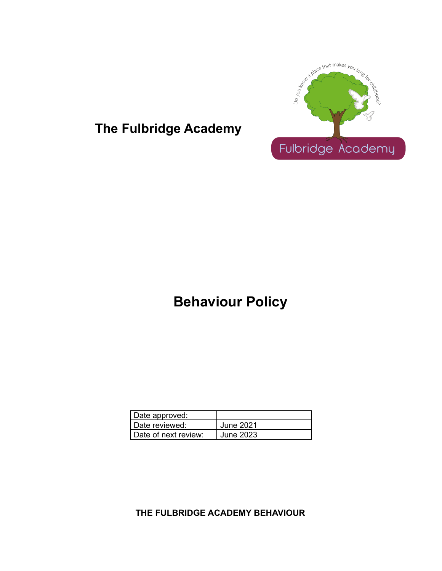

## **The Fulbridge Academy**

# **Behaviour Policy**

| Date approved:       |           |
|----------------------|-----------|
| Date reviewed:       | June 2021 |
| Date of next review: | June 2023 |

**THE FULBRIDGE ACADEMY BEHAVIOUR**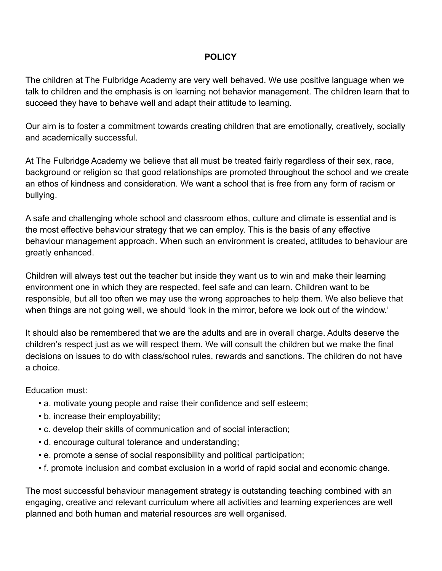#### **POLICY**

The children at The Fulbridge Academy are very well behaved. We use positive language when we talk to children and the emphasis is on learning not behavior management. The children learn that to succeed they have to behave well and adapt their attitude to learning.

Our aim is to foster a commitment towards creating children that are emotionally, creatively, socially and academically successful.

At The Fulbridge Academy we believe that all must be treated fairly regardless of their sex, race, background or religion so that good relationships are promoted throughout the school and we create an ethos of kindness and consideration. We want a school that is free from any form of racism or bullying.

A safe and challenging whole school and classroom ethos, culture and climate is essential and is the most effective behaviour strategy that we can employ. This is the basis of any effective behaviour management approach. When such an environment is created, attitudes to behaviour are greatly enhanced.

Children will always test out the teacher but inside they want us to win and make their learning environment one in which they are respected, feel safe and can learn. Children want to be responsible, but all too often we may use the wrong approaches to help them. We also believe that when things are not going well, we should 'look in the mirror, before we look out of the window.'

It should also be remembered that we are the adults and are in overall charge. Adults deserve the children's respect just as we will respect them. We will consult the children but we make the final decisions on issues to do with class/school rules, rewards and sanctions. The children do not have a choice.

Education must:

- a. motivate young people and raise their confidence and self esteem;
- b. increase their employability;
- c. develop their skills of communication and of social interaction;
- d. encourage cultural tolerance and understanding;
- e. promote a sense of social responsibility and political participation;
- f. promote inclusion and combat exclusion in a world of rapid social and economic change.

The most successful behaviour management strategy is outstanding teaching combined with an engaging, creative and relevant curriculum where all activities and learning experiences are well planned and both human and material resources are well organised.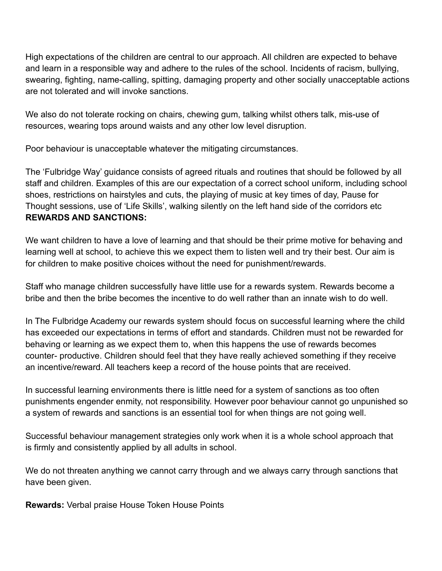High expectations of the children are central to our approach. All children are expected to behave and learn in a responsible way and adhere to the rules of the school. Incidents of racism, bullying, swearing, fighting, name-calling, spitting, damaging property and other socially unacceptable actions are not tolerated and will invoke sanctions.

We also do not tolerate rocking on chairs, chewing gum, talking whilst others talk, mis-use of resources, wearing tops around waists and any other low level disruption.

Poor behaviour is unacceptable whatever the mitigating circumstances.

The 'Fulbridge Way' guidance consists of agreed rituals and routines that should be followed by all staff and children. Examples of this are our expectation of a correct school uniform, including school shoes, restrictions on hairstyles and cuts, the playing of music at key times of day, Pause for Thought sessions, use of 'Life Skills', walking silently on the left hand side of the corridors etc **REWARDS AND SANCTIONS:**

We want children to have a love of learning and that should be their prime motive for behaving and learning well at school, to achieve this we expect them to listen well and try their best. Our aim is for children to make positive choices without the need for punishment/rewards.

Staff who manage children successfully have little use for a rewards system. Rewards become a bribe and then the bribe becomes the incentive to do well rather than an innate wish to do well.

In The Fulbridge Academy our rewards system should focus on successful learning where the child has exceeded our expectations in terms of effort and standards. Children must not be rewarded for behaving or learning as we expect them to, when this happens the use of rewards becomes counter- productive. Children should feel that they have really achieved something if they receive an incentive/reward. All teachers keep a record of the house points that are received.

In successful learning environments there is little need for a system of sanctions as too often punishments engender enmity, not responsibility. However poor behaviour cannot go unpunished so a system of rewards and sanctions is an essential tool for when things are not going well.

Successful behaviour management strategies only work when it is a whole school approach that is firmly and consistently applied by all adults in school.

We do not threaten anything we cannot carry through and we always carry through sanctions that have been given.

**Rewards:** Verbal praise House Token House Points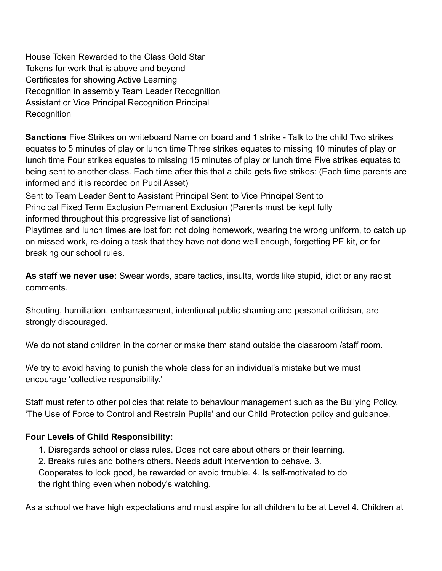House Token Rewarded to the Class Gold Star Tokens for work that is above and beyond Certificates for showing Active Learning Recognition in assembly Team Leader Recognition Assistant or Vice Principal Recognition Principal Recognition

**Sanctions** Five Strikes on whiteboard Name on board and 1 strike - Talk to the child Two strikes equates to 5 minutes of play or lunch time Three strikes equates to missing 10 minutes of play or lunch time Four strikes equates to missing 15 minutes of play or lunch time Five strikes equates to being sent to another class. Each time after this that a child gets five strikes: (Each time parents are informed and it is recorded on Pupil Asset)

Sent to Team Leader Sent to Assistant Principal Sent to Vice Principal Sent to Principal Fixed Term Exclusion Permanent Exclusion (Parents must be kept fully informed throughout this progressive list of sanctions)

Playtimes and lunch times are lost for: not doing homework, wearing the wrong uniform, to catch up on missed work, re-doing a task that they have not done well enough, forgetting PE kit, or for breaking our school rules.

**As staff we never use:** Swear words, scare tactics, insults, words like stupid, idiot or any racist comments.

Shouting, humiliation, embarrassment, intentional public shaming and personal criticism, are strongly discouraged.

We do not stand children in the corner or make them stand outside the classroom /staff room.

We try to avoid having to punish the whole class for an individual's mistake but we must encourage 'collective responsibility.'

Staff must refer to other policies that relate to behaviour management such as the Bullying Policy, 'The Use of Force to Control and Restrain Pupils' and our Child Protection policy and guidance.

### **Four Levels of Child Responsibility:**

- 1. Disregards school or class rules. Does not care about others or their learning.
- 2. Breaks rules and bothers others. Needs adult intervention to behave. 3.

Cooperates to look good, be rewarded or avoid trouble. 4. Is self-motivated to do the right thing even when nobody's watching.

As a school we have high expectations and must aspire for all children to be at Level 4. Children at